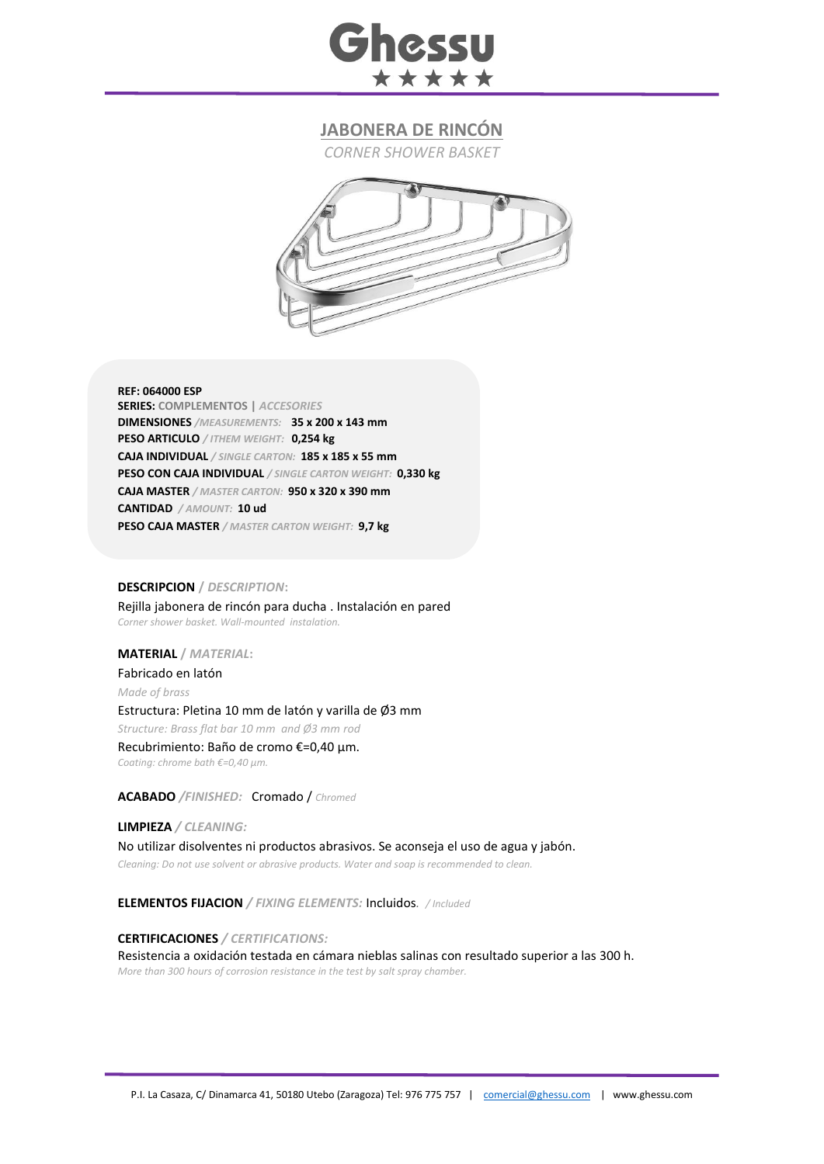

# **JABONERA DE RINCÓN**

*CORNER SHOWER BASKET*



#### **REF: 064000 ESP**

**SERIES: COMPLEMENTOS |** *ACCESORIES* **DIMENSIONES** */MEASUREMENTS:* **35 x 200 x 143 mm PESO ARTICULO** */ ITHEM WEIGHT:* **0,254 kg CAJA INDIVIDUAL** */ SINGLE CARTON:* **185 x 185 x 55 mm PESO CON CAJA INDIVIDUAL** */ SINGLE CARTON WEIGHT:* **0,330 kg CAJA MASTER** */ MASTER CARTON:* **950 x 320 x 390 mm CANTIDAD** */ AMOUNT:* **10 ud PESO CAJA MASTER** */ MASTER CARTON WEIGHT:* **9,7 kg**

### **DESCRIPCION /** *DESCRIPTION***:**

Rejilla jabonera de rincón para ducha . Instalación en pared *Corner shower basket. Wall-mounted instalation.*

#### **MATERIAL /** *MATERIAL***:**

Fabricado en latón *Made of brass* Estructura: Pletina 10 mm de latón y varilla de Ø3 mm *Structure: Brass flat bar 10 mm and Ø3 mm rod*  Recubrimiento: Baño de cromo €=0,40 μm. *Coating: chrome bath €=0,40 μm.*

## **ACABADO** */FINISHED:*Cromado / *Chromed*

**LIMPIEZA** */ CLEANING:* No utilizar disolventes ni productos abrasivos. Se aconseja el uso de agua y jabón. *Cleaning: Do not use solvent or abrasive products. Water and soap is recommended to clean.*

**ELEMENTOS FIJACION** */ FIXING ELEMENTS:* Incluidos*. / Included*

### **CERTIFICACIONES** */ CERTIFICATIONS:*

Resistencia a oxidación testada en cámara nieblas salinas con resultado superior a las 300 h. *More than 300 hours of corrosion resistance in the test by salt spray chamber.*